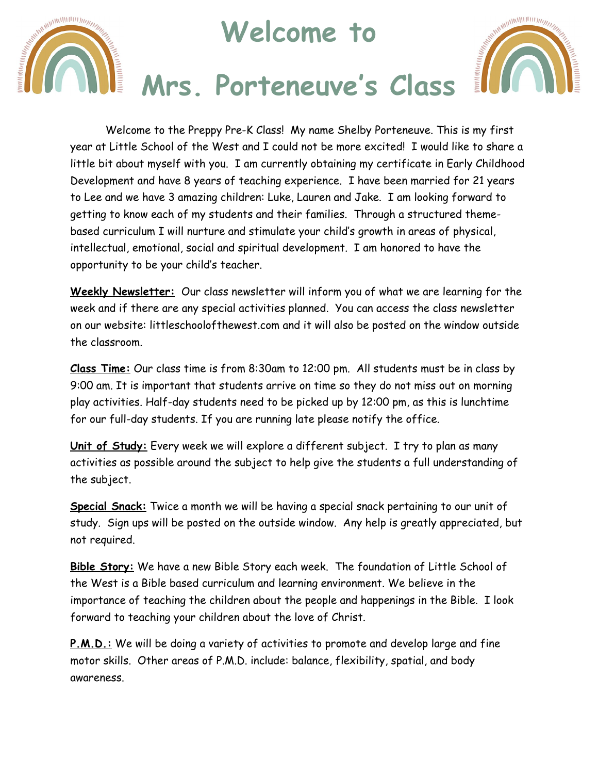## **Welcome to**

ANTIFICIAL MANUTENT MANAGEMENT



## **Mrs. Porteneuve's Class**

Welcome to the Preppy Pre-K Class! My name Shelby Porteneuve. This is my first year at Little School of the West and I could not be more excited! I would like to share a little bit about myself with you. I am currently obtaining my certificate in Early Childhood Development and have 8 years of teaching experience. I have been married for 21 years to Lee and we have 3 amazing children: Luke, Lauren and Jake. I am looking forward to getting to know each of my students and their families. Through a structured themebased curriculum I will nurture and stimulate your child's growth in areas of physical, intellectual, emotional, social and spiritual development. I am honored to have the opportunity to be your child's teacher.

**Weekly Newsletter:** Our class newsletter will inform you of what we are learning for the week and if there are any special activities planned. You can access the class newsletter on our website: littleschoolofthewest.com and it will also be posted on the window outside the classroom.

**Class Time:** Our class time is from 8:30am to 12:00 pm. All students must be in class by 9:00 am. It is important that students arrive on time so they do not miss out on morning play activities. Half-day students need to be picked up by 12:00 pm, as this is lunchtime for our full-day students. If you are running late please notify the office.

**Unit of Study:** Every week we will explore a different subject. I try to plan as many activities as possible around the subject to help give the students a full understanding of the subject.

**Special Snack:** Twice a month we will be having a special snack pertaining to our unit of study. Sign ups will be posted on the outside window. Any help is greatly appreciated, but not required.

**Bible Story:** We have a new Bible Story each week. The foundation of Little School of the West is a Bible based curriculum and learning environment. We believe in the importance of teaching the children about the people and happenings in the Bible. I look forward to teaching your children about the love of Christ.

**P.M.D.:** We will be doing a variety of activities to promote and develop large and fine motor skills. Other areas of P.M.D. include: balance, flexibility, spatial, and body awareness.